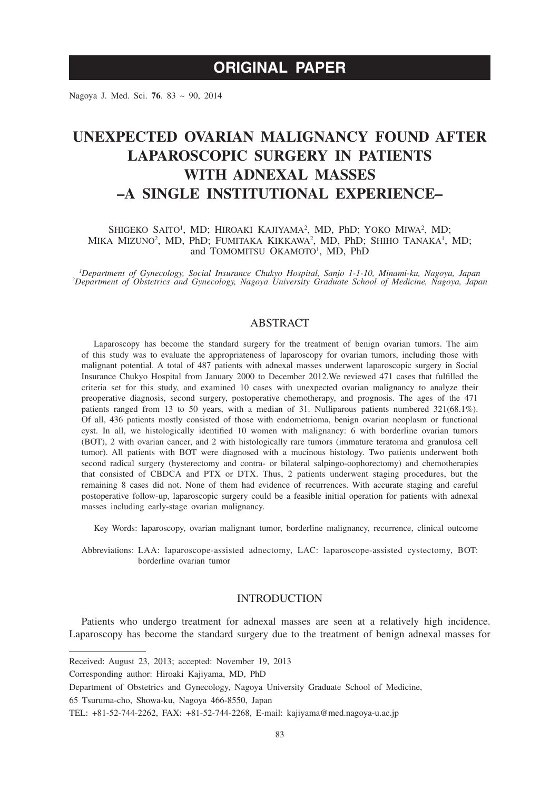Nagoya J. Med. Sci. **76**. 83 ~ 90, 2014

# **UNEXPECTED OVARIAN MALIGNANCY FOUND AFTER LAPAROSCOPIC SURGERY IN PATIENTS WITH ADNEXAL MASSES –A SINGLE INSTITUTIONAL EXPERIENCE–**

## SHIGEKO SAITO<sup>1</sup>, MD; HIROAKI KAJIYAMA<sup>2</sup>, MD, PhD; YOKO MIWA<sup>2</sup>, MD; MIKA MIZUNO<sup>2</sup>, MD, PhD; FUMITAKA KIKKAWA<sup>2</sup>, MD, PhD; SHIHO TANAKA<sup>1</sup>, MD; and TOMOMITSU OKAMOTO<sup>1</sup>, MD, PhD

*1 Department of Gynecology, Social Insurance Chukyo Hospital, Sanjo 1-1-10, Minami-ku, Nagoya, Japan <sup>2</sup> Department of Obstetrics and Gynecology, Nagoya University Graduate School of Medicine, Nagoya, Japan*

# ABSTRACT

Laparoscopy has become the standard surgery for the treatment of benign ovarian tumors. The aim of this study was to evaluate the appropriateness of laparoscopy for ovarian tumors, including those with malignant potential. A total of 487 patients with adnexal masses underwent laparoscopic surgery in Social Insurance Chukyo Hospital from January 2000 to December 2012.We reviewed 471 cases that fulfilled the criteria set for this study, and examined 10 cases with unexpected ovarian malignancy to analyze their preoperative diagnosis, second surgery, postoperative chemotherapy, and prognosis. The ages of the 471 patients ranged from 13 to 50 years, with a median of 31. Nulliparous patients numbered 321(68.1%). Of all, 436 patients mostly consisted of those with endometrioma, benign ovarian neoplasm or functional cyst. In all, we histologically identified 10 women with malignancy: 6 with borderline ovarian tumors (BOT), 2 with ovarian cancer, and 2 with histologically rare tumors (immature teratoma and granulosa cell tumor). All patients with BOT were diagnosed with a mucinous histology. Two patients underwent both second radical surgery (hysterectomy and contra- or bilateral salpingo-oophorectomy) and chemotherapies that consisted of CBDCA and PTX or DTX. Thus, 2 patients underwent staging procedures, but the remaining 8 cases did not. None of them had evidence of recurrences. With accurate staging and careful postoperative follow-up, laparoscopic surgery could be a feasible initial operation for patients with adnexal masses including early-stage ovarian malignancy.

Key Words: laparoscopy, ovarian malignant tumor, borderline malignancy, recurrence, clinical outcome

Abbreviations: LAA: laparoscope-assisted adnectomy, LAC: laparoscope-assisted cystectomy, BOT: borderline ovarian tumor

# **INTRODUCTION**

Patients who undergo treatment for adnexal masses are seen at a relatively high incidence. Laparoscopy has become the standard surgery due to the treatment of benign adnexal masses for

Received: August 23, 2013; accepted: November 19, 2013

Corresponding author: Hiroaki Kajiyama, MD, PhD

Department of Obstetrics and Gynecology, Nagoya University Graduate School of Medicine,

<sup>65</sup> Tsuruma-cho, Showa-ku, Nagoya 466-8550, Japan

TEL: +81-52-744-2262, FAX: +81-52-744-2268, E-mail: kajiyama@med.nagoya-u.ac.jp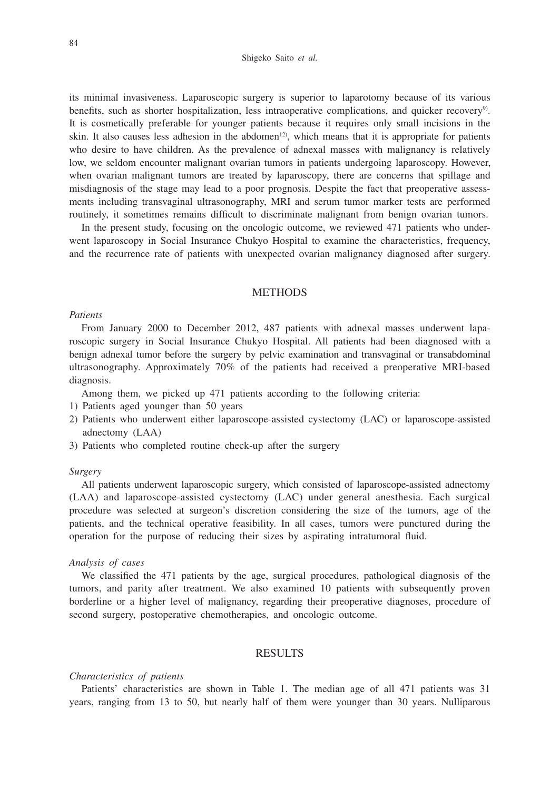its minimal invasiveness. Laparoscopic surgery is superior to laparotomy because of its various benefits, such as shorter hospitalization, less intraoperative complications, and quicker recovery<sup>9)</sup>. It is cosmetically preferable for younger patients because it requires only small incisions in the skin. It also causes less adhesion in the abdomen<sup>12</sup>, which means that it is appropriate for patients who desire to have children. As the prevalence of adnexal masses with malignancy is relatively low, we seldom encounter malignant ovarian tumors in patients undergoing laparoscopy. However, when ovarian malignant tumors are treated by laparoscopy, there are concerns that spillage and misdiagnosis of the stage may lead to a poor prognosis. Despite the fact that preoperative assessments including transvaginal ultrasonography, MRI and serum tumor marker tests are performed routinely, it sometimes remains difficult to discriminate malignant from benign ovarian tumors.

In the present study, focusing on the oncologic outcome, we reviewed 471 patients who underwent laparoscopy in Social Insurance Chukyo Hospital to examine the characteristics, frequency, and the recurrence rate of patients with unexpected ovarian malignancy diagnosed after surgery.

## **METHODS**

## *Patients*

From January 2000 to December 2012, 487 patients with adnexal masses underwent laparoscopic surgery in Social Insurance Chukyo Hospital. All patients had been diagnosed with a benign adnexal tumor before the surgery by pelvic examination and transvaginal or transabdominal ultrasonography. Approximately 70% of the patients had received a preoperative MRI-based diagnosis.

Among them, we picked up 471 patients according to the following criteria:

- 1) Patients aged younger than 50 years
- 2) Patients who underwent either laparoscope-assisted cystectomy (LAC) or laparoscope-assisted adnectomy (LAA)
- 3) Patients who completed routine check-up after the surgery

# *Surgery*

All patients underwent laparoscopic surgery, which consisted of laparoscope-assisted adnectomy (LAA) and laparoscope-assisted cystectomy (LAC) under general anesthesia. Each surgical procedure was selected at surgeon's discretion considering the size of the tumors, age of the patients, and the technical operative feasibility. In all cases, tumors were punctured during the operation for the purpose of reducing their sizes by aspirating intratumoral fluid.

## *Analysis of cases*

We classified the 471 patients by the age, surgical procedures, pathological diagnosis of the tumors, and parity after treatment. We also examined 10 patients with subsequently proven borderline or a higher level of malignancy, regarding their preoperative diagnoses, procedure of second surgery, postoperative chemotherapies, and oncologic outcome.

# RESULTS

#### *Characteristics of patients*

Patients' characteristics are shown in Table 1. The median age of all 471 patients was 31 years, ranging from 13 to 50, but nearly half of them were younger than 30 years. Nulliparous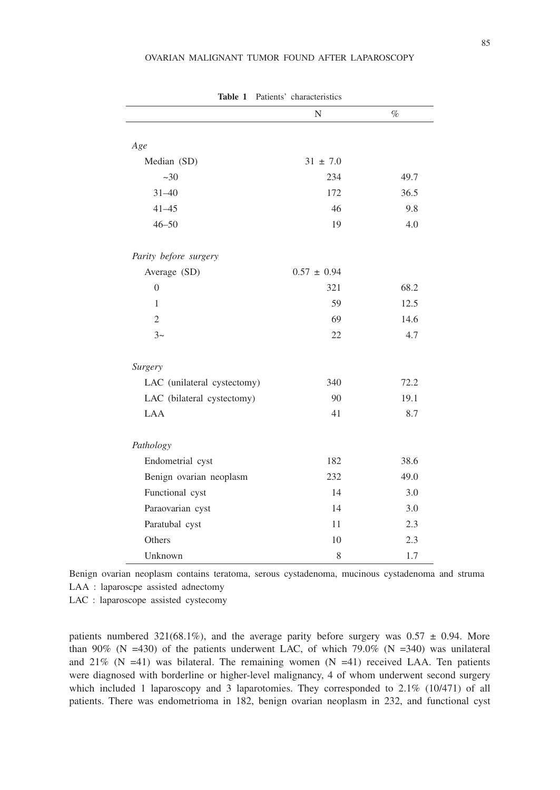|                             | N               | $\%$ |
|-----------------------------|-----------------|------|
|                             |                 |      |
| Age                         |                 |      |
| Median (SD)                 | $31 \pm 7.0$    |      |
| $~1$ - 30                   | 234             | 49.7 |
| $31 - 40$                   | 172             | 36.5 |
| $41 - 45$                   | 46              | 9.8  |
| $46 - 50$                   | 19              | 4.0  |
|                             |                 |      |
| Parity before surgery       |                 |      |
| Average (SD)                | $0.57 \pm 0.94$ |      |
| $\overline{0}$              | 321             | 68.2 |
| 1                           | 59              | 12.5 |
| $\overline{2}$              | 69              | 14.6 |
| $3\sim$                     | 22              | 4.7  |
|                             |                 |      |
| Surgery                     |                 |      |
| LAC (unilateral cystectomy) | 340             | 72.2 |
| LAC (bilateral cystectomy)  | 90              | 19.1 |
| <b>LAA</b>                  | 41              | 8.7  |
|                             |                 |      |
| Pathology                   |                 |      |
| Endometrial cyst            | 182             | 38.6 |
| Benign ovarian neoplasm     | 232             | 49.0 |
| Functional cyst             | 14              | 3.0  |
| Paraovarian cyst            | 14              | 3.0  |
| Paratubal cyst              | 11              | 2.3  |
| Others                      | 10              | 2.3  |
| Unknown                     | 8               | 1.7  |

**Table 1** Patients' characteristics

Benign ovarian neoplasm contains teratoma, serous cystadenoma, mucinous cystadenoma and struma LAA : laparoscpe assisted adnectomy

LAC : laparoscope assisted cystecomy

patients numbered 321(68.1%), and the average parity before surgery was  $0.57 \pm 0.94$ . More than 90% (N =430) of the patients underwent LAC, of which 79.0% (N =340) was unilateral and  $21\%$  (N =41) was bilateral. The remaining women (N =41) received LAA. Ten patients were diagnosed with borderline or higher-level malignancy, 4 of whom underwent second surgery which included 1 laparoscopy and 3 laparotomies. They corresponded to  $2.1\%$  (10/471) of all patients. There was endometrioma in 182, benign ovarian neoplasm in 232, and functional cyst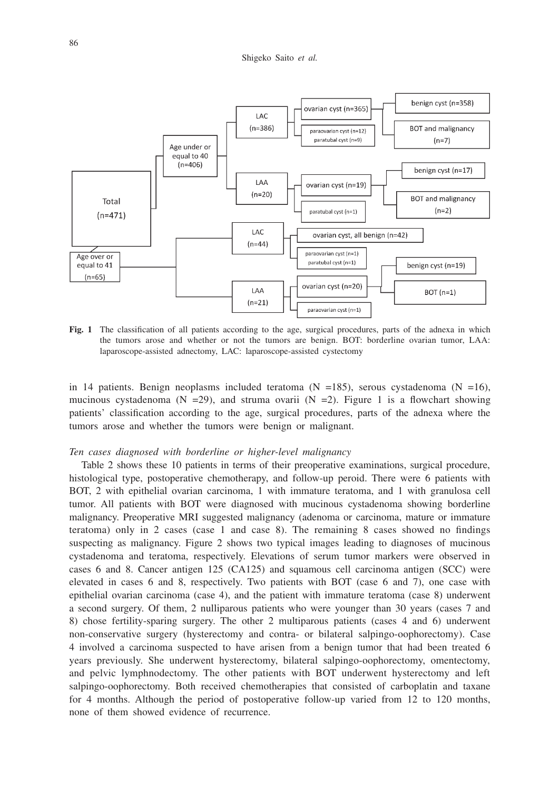

**Fig. 1** The classification of all patients according to the age, surgical procedures, parts of the adnexa in which the tumors arose and whether or not the tumors are benign. BOT: borderline ovarian tumor, LAA: laparoscope-assisted adnectomy, LAC: laparoscope-assisted cystectomy

in 14 patients. Benign neoplasms included teratoma ( $N = 185$ ), serous cystadenoma ( $N = 16$ ), mucinous cystadenoma (N = 29), and struma ovarii (N = 2). Figure 1 is a flowchart showing patients' classification according to the age, surgical procedures, parts of the adnexa where the tumors arose and whether the tumors were benign or malignant.

## *Ten cases diagnosed with borderline or higher-level malignancy*

Table 2 shows these 10 patients in terms of their preoperative examinations, surgical procedure, histological type, postoperative chemotherapy, and follow-up peroid. There were 6 patients with BOT, 2 with epithelial ovarian carcinoma, 1 with immature teratoma, and 1 with granulosa cell tumor. All patients with BOT were diagnosed with mucinous cystadenoma showing borderline malignancy. Preoperative MRI suggested malignancy (adenoma or carcinoma, mature or immature teratoma) only in 2 cases (case 1 and case 8). The remaining 8 cases showed no findings suspecting as malignancy. Figure 2 shows two typical images leading to diagnoses of mucinous cystadenoma and teratoma, respectively. Elevations of serum tumor markers were observed in cases 6 and 8. Cancer antigen 125 (CA125) and squamous cell carcinoma antigen (SCC) were elevated in cases 6 and 8, respectively. Two patients with BOT (case 6 and 7), one case with epithelial ovarian carcinoma (case 4), and the patient with immature teratoma (case 8) underwent a second surgery. Of them, 2 nulliparous patients who were younger than 30 years (cases 7 and 8) chose fertility-sparing surgery. The other 2 multiparous patients (cases 4 and 6) underwent non-conservative surgery (hysterectomy and contra- or bilateral salpingo-oophorectomy). Case 4 involved a carcinoma suspected to have arisen from a benign tumor that had been treated 6 years previously. She underwent hysterectomy, bilateral salpingo-oophorectomy, omentectomy, and pelvic lymphnodectomy. The other patients with BOT underwent hysterectomy and left salpingo-oophorectomy. Both received chemotherapies that consisted of carboplatin and taxane for 4 months. Although the period of postoperative follow-up varied from 12 to 120 months, none of them showed evidence of recurrence.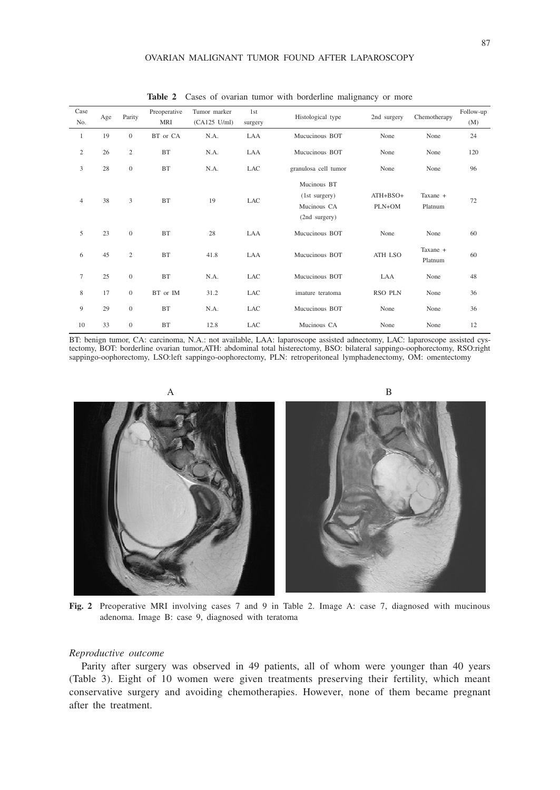### OVARIAN MALIGNANT TUMOR FOUND AFTER LAPAROSCOPY

| Case<br>No.    | Age | Parity         | Preoperative<br>MRI | Tumor marker<br>$(CA125$ U/ml) | 1st<br>surgery | Histological type                                            | 2nd surgery            | Chemotherapy        | Follow-up<br>(M) |
|----------------|-----|----------------|---------------------|--------------------------------|----------------|--------------------------------------------------------------|------------------------|---------------------|------------------|
| $\mathbf{1}$   | 19  | $\mathbf{0}$   | BT or CA            | N.A.                           | LAA            | Mucucinous BOT                                               | None                   | None                | 24               |
| $\mathfrak{2}$ | 26  | $\overline{c}$ | <b>BT</b>           | N.A.                           | LAA            | Mucucinous BOT                                               | None                   | None                | 120              |
| 3              | 28  | $\mathbf{0}$   | BT                  | N.A.                           | LAC            | granulosa cell tumor                                         | None                   | None                | 96               |
| $\overline{4}$ | 38  | 3              | <b>BT</b>           | 19                             | <b>LAC</b>     | Mucinous BT<br>(1st surgery)<br>Mucinous CA<br>(2nd surgery) | $ATH + BSO+$<br>PLN+OM | Taxane +<br>Platnum | 72               |
| 5              | 23  | $\mathbf{0}$   | <b>BT</b>           | 28                             | LAA            | Mucucinous BOT                                               | None                   | None                | 60               |
| 6              | 45  | $\overline{c}$ | BT                  | 41.8                           | LAA            | Mucucinous BOT                                               | ATH LSO                | Taxane +<br>Platnum | 60               |
| $\overline{7}$ | 25  | $\mathbf{0}$   | <b>BT</b>           | N.A.                           | LAC            | Mucucinous BOT                                               | LAA                    | None                | 48               |
| 8              | 17  | $\mathbf{0}$   | BT or IM            | 31.2                           | <b>LAC</b>     | imature teratoma                                             | <b>RSO PLN</b>         | None                | 36               |
| 9              | 29  | $\mathbf{0}$   | <b>BT</b>           | N.A.                           | <b>LAC</b>     | Mucucinous BOT                                               | None                   | None                | 36               |
| 10             | 33  | $\mathbf{0}$   | <b>BT</b>           | 12.8                           | LAC            | Mucinous CA                                                  | None                   | None                | 12               |

Table 2 Cases of ovarian tumor with borderline malignancy or more

BT: benign tumor, CA: carcinoma, N.A.: not available, LAA: laparoscope assisted adnectomy, LAC: laparoscope assisted cystectomy, BOT: borderline ovarian tumor,ATH: abdominal total histerectomy, BSO: bilateral sappingo-oophorectomy, RSO:right sappingo-oophorectomy, LSO:left sappingo-oophorectomy, PLN: retroperitoneal lymphadenectomy, OM: omentectomy



**Fig. 2** Preoperative MRI involving cases 7 and 9 in Table 2. Image A: case 7, diagnosed with mucinous adenoma. Image B: case 9, diagnosed with teratoma

## *Reproductive outcome*

Parity after surgery was observed in 49 patients, all of whom were younger than 40 years (Table 3). Eight of 10 women were given treatments preserving their fertility, which meant conservative surgery and avoiding chemotherapies. However, none of them became pregnant after the treatment.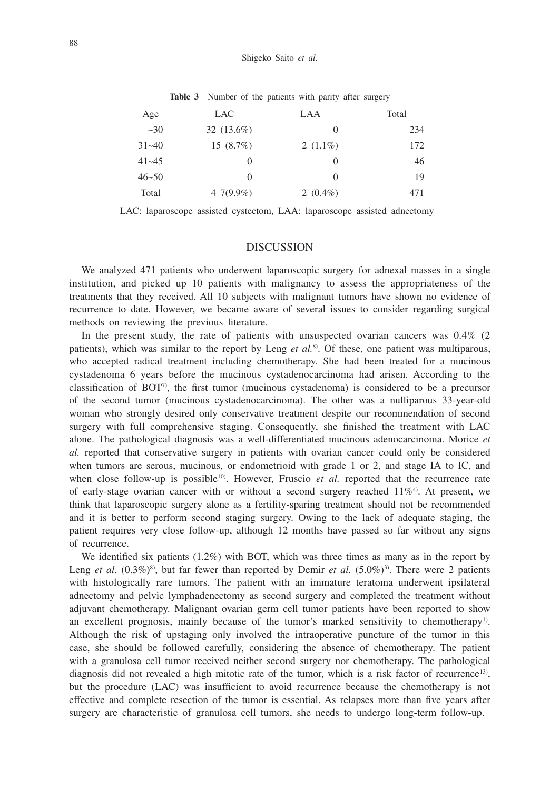| Age       | LAC.          | LAA         | Total |
|-----------|---------------|-------------|-------|
| $\sim 30$ | 32 $(13.6\%)$ | $\theta$    | 234   |
| $31 - 40$ | $15(8.7\%)$   | 2 $(1.1\%)$ | 172   |
| $41 - 45$ | $\Omega$      | 0           | 46    |
| $46 - 50$ | $\Omega$      | 0           | 19    |
| Total     | 4 7(9.9%)     | 2 $(0.4\%)$ | 471   |
|           |               |             |       |

**Table 3** Number of the patients with parity after surgery

LAC: laparoscope assisted cystectom, LAA: laparoscope assisted adnectomy

# **DISCUSSION**

We analyzed 471 patients who underwent laparoscopic surgery for adnexal masses in a single institution, and picked up 10 patients with malignancy to assess the appropriateness of the treatments that they received. All 10 subjects with malignant tumors have shown no evidence of recurrence to date. However, we became aware of several issues to consider regarding surgical methods on reviewing the previous literature.

In the present study, the rate of patients with unsuspected ovarian cancers was 0.4% (2 patients), which was similar to the report by Leng *et al.*8). Of these, one patient was multiparous, who accepted radical treatment including chemotherapy. She had been treated for a mucinous cystadenoma 6 years before the mucinous cystadenocarcinoma had arisen. According to the classification of BOT<sup>7</sup>), the first tumor (mucinous cystadenoma) is considered to be a precursor of the second tumor (mucinous cystadenocarcinoma). The other was a nulliparous 33-year-old woman who strongly desired only conservative treatment despite our recommendation of second surgery with full comprehensive staging. Consequently, she finished the treatment with LAC alone. The pathological diagnosis was a well-differentiated mucinous adenocarcinoma. Morice *et al.* reported that conservative surgery in patients with ovarian cancer could only be considered when tumors are serous, mucinous, or endometrioid with grade 1 or 2, and stage IA to IC, and when close follow-up is possible<sup>10</sup>. However, Fruscio *et al.* reported that the recurrence rate of early-stage ovarian cancer with or without a second surgery reached  $11\%$ <sup>4</sup>. At present, we think that laparoscopic surgery alone as a fertility-sparing treatment should not be recommended and it is better to perform second staging surgery. Owing to the lack of adequate staging, the patient requires very close follow-up, although 12 months have passed so far without any signs of recurrence.

We identified six patients (1.2%) with BOT, which was three times as many as in the report by Leng *et al.*  $(0.3\%)^8$ , but far fewer than reported by Demir *et al.*  $(5.0\%)^3$ . There were 2 patients with histologically rare tumors. The patient with an immature teratoma underwent ipsilateral adnectomy and pelvic lymphadenectomy as second surgery and completed the treatment without adjuvant chemotherapy. Malignant ovarian germ cell tumor patients have been reported to show an excellent prognosis, mainly because of the tumor's marked sensitivity to chemotherapy<sup>1)</sup>. Although the risk of upstaging only involved the intraoperative puncture of the tumor in this case, she should be followed carefully, considering the absence of chemotherapy. The patient with a granulosa cell tumor received neither second surgery nor chemotherapy. The pathological diagnosis did not revealed a high mitotic rate of the tumor, which is a risk factor of recurrence<sup>13</sup>), but the procedure (LAC) was insufficient to avoid recurrence because the chemotherapy is not effective and complete resection of the tumor is essential. As relapses more than five years after surgery are characteristic of granulosa cell tumors, she needs to undergo long-term follow-up.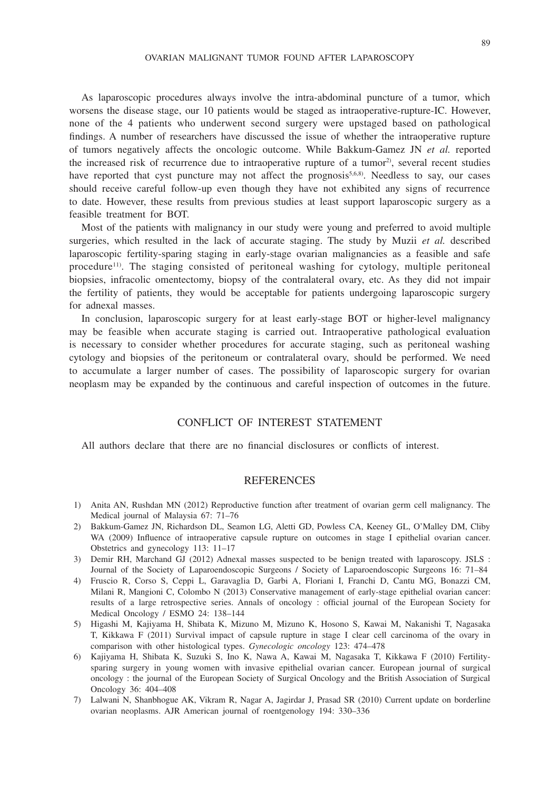As laparoscopic procedures always involve the intra-abdominal puncture of a tumor, which worsens the disease stage, our 10 patients would be staged as intraoperative-rupture-IC. However, none of the 4 patients who underwent second surgery were upstaged based on pathological findings. A number of researchers have discussed the issue of whether the intraoperative rupture of tumors negatively affects the oncologic outcome. While Bakkum-Gamez JN *et al.* reported the increased risk of recurrence due to intraoperative rupture of a tumor<sup>2</sup>, several recent studies have reported that cyst puncture may not affect the prognosis<sup>5,6,8)</sup>. Needless to say, our cases should receive careful follow-up even though they have not exhibited any signs of recurrence to date. However, these results from previous studies at least support laparoscopic surgery as a feasible treatment for BOT.

Most of the patients with malignancy in our study were young and preferred to avoid multiple surgeries, which resulted in the lack of accurate staging. The study by Muzii *et al.* described laparoscopic fertility-sparing staging in early-stage ovarian malignancies as a feasible and safe procedure<sup>11)</sup>. The staging consisted of peritoneal washing for cytology, multiple peritoneal biopsies, infracolic omentectomy, biopsy of the contralateral ovary, etc. As they did not impair the fertility of patients, they would be acceptable for patients undergoing laparoscopic surgery for adnexal masses.

In conclusion, laparoscopic surgery for at least early-stage BOT or higher-level malignancy may be feasible when accurate staging is carried out. Intraoperative pathological evaluation is necessary to consider whether procedures for accurate staging, such as peritoneal washing cytology and biopsies of the peritoneum or contralateral ovary, should be performed. We need to accumulate a larger number of cases. The possibility of laparoscopic surgery for ovarian neoplasm may be expanded by the continuous and careful inspection of outcomes in the future.

# CONFLICT OF INTEREST STATEMENT

All authors declare that there are no financial disclosures or conflicts of interest.

# **REFERENCES**

- 1) Anita AN, Rushdan MN (2012) Reproductive function after treatment of ovarian germ cell malignancy. The Medical journal of Malaysia 67: 71–76
- 2) Bakkum-Gamez JN, Richardson DL, Seamon LG, Aletti GD, Powless CA, Keeney GL, O'Malley DM, Cliby WA (2009) Influence of intraoperative capsule rupture on outcomes in stage I epithelial ovarian cancer. Obstetrics and gynecology 113: 11–17
- 3) Demir RH, Marchand GJ (2012) Adnexal masses suspected to be benign treated with laparoscopy. JSLS : Journal of the Society of Laparoendoscopic Surgeons / Society of Laparoendoscopic Surgeons 16: 71–84
- 4) Fruscio R, Corso S, Ceppi L, Garavaglia D, Garbi A, Floriani I, Franchi D, Cantu MG, Bonazzi CM, Milani R, Mangioni C, Colombo N (2013) Conservative management of early-stage epithelial ovarian cancer: results of a large retrospective series. Annals of oncology : official journal of the European Society for Medical Oncology / ESMO 24: 138–144
- 5) Higashi M, Kajiyama H, Shibata K, Mizuno M, Mizuno K, Hosono S, Kawai M, Nakanishi T, Nagasaka T, Kikkawa F (2011) Survival impact of capsule rupture in stage I clear cell carcinoma of the ovary in comparison with other histological types. *Gynecologic oncology* 123: 474–478
- 6) Kajiyama H, Shibata K, Suzuki S, Ino K, Nawa A, Kawai M, Nagasaka T, Kikkawa F (2010) Fertilitysparing surgery in young women with invasive epithelial ovarian cancer. European journal of surgical oncology : the journal of the European Society of Surgical Oncology and the British Association of Surgical Oncology 36: 404–408
- 7) Lalwani N, Shanbhogue AK, Vikram R, Nagar A, Jagirdar J, Prasad SR (2010) Current update on borderline ovarian neoplasms. AJR American journal of roentgenology 194: 330–336